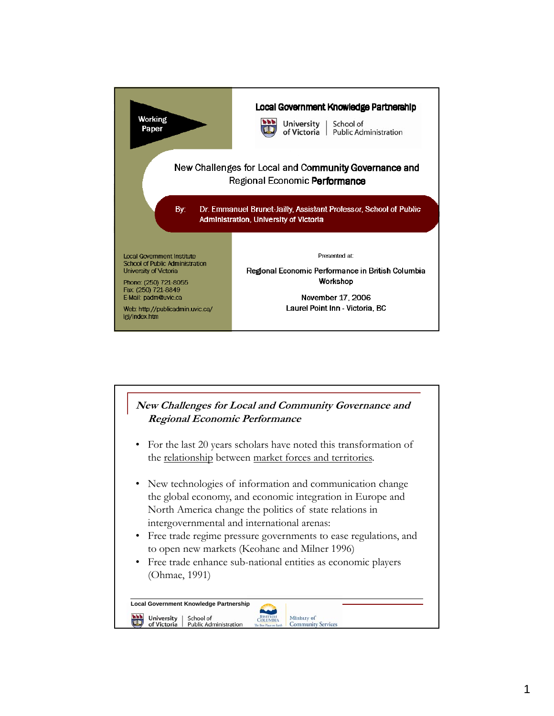

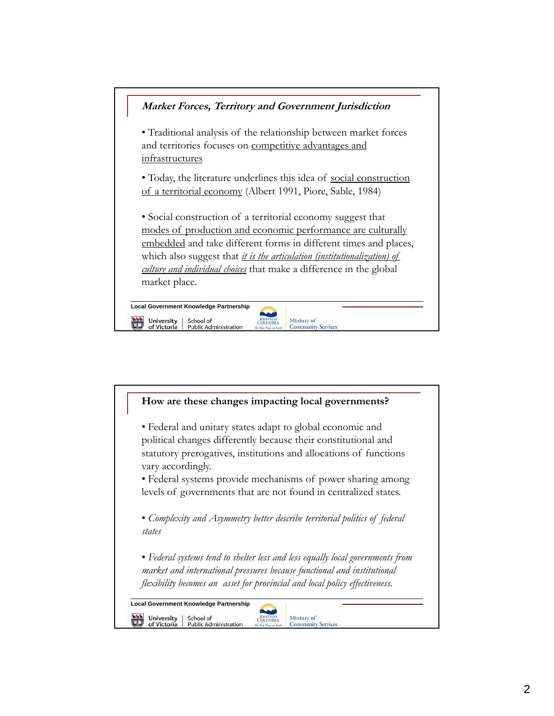

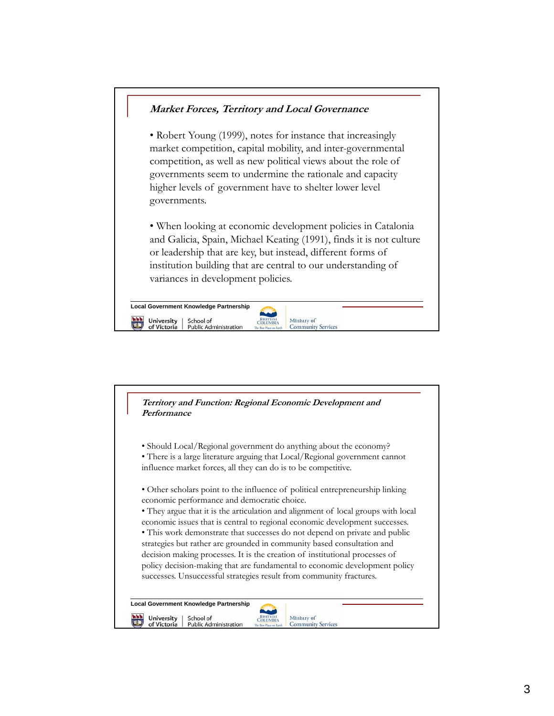## **Market Forces, Territory and Local Governance** • Robert Young (1999), notes for instance that increasingly market competition, capital mobility, and inter-governmental competition, as well as new political views about the role of governments seem to undermine the rationale and capacity higher levels of government have to shelter lower level governments. • When looking at economic development policies in Catalonia and Galicia, Spain, Michael Keating (1991), finds it is not culture or leadership that are key, but instead, different forms of institution building that are central to our understanding of variances in development policies. **Local Government Knowledge Partnership**  $\mathbb{C}$ University School of<br>Public Administration **BRITISH** Ministry of of Victoria **Community Services**